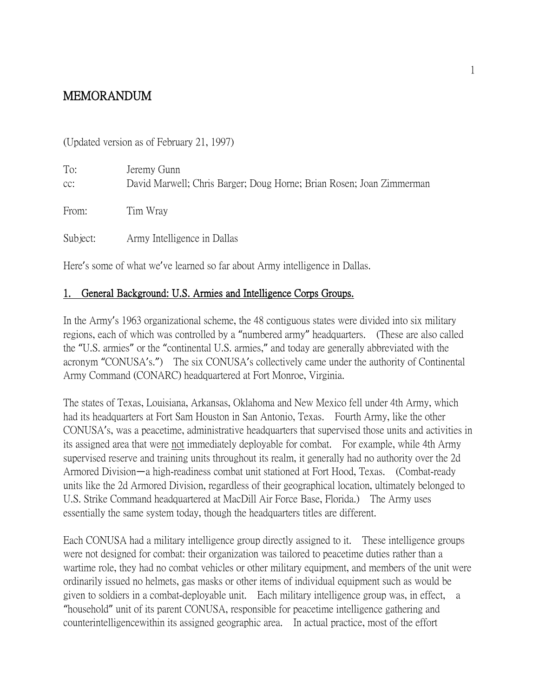# MEMORANDUM

(Updated version as of February 21, 1997)

| To:<br>CC: | Jeremy Gunn<br>David Marwell; Chris Barger; Doug Horne; Brian Rosen; Joan Zimmerman |
|------------|-------------------------------------------------------------------------------------|
| From:      | Tim Wray                                                                            |
| Subject:   | Army Intelligence in Dallas                                                         |

Here's some of what we've learned so far about Army intelligence in Dallas.

## 1. General Background: U.S. Armies and Intelligence Corps Groups.

In the Army's 1963 organizational scheme, the 48 contiguous states were divided into six military regions, each of which was controlled by a "numbered army" headquarters. (These are also called the "U.S. armies" or the "continental U.S. armies," and today are generally abbreviated with the acronym "CONUSA's.") The six CONUSA's collectively came under the authority of Continental Army Command (CONARC) headquartered at Fort Monroe, Virginia.

The states of Texas, Louisiana, Arkansas, Oklahoma and New Mexico fell under 4th Army, which had its headquarters at Fort Sam Houston in San Antonio, Texas. Fourth Army, like the other CONUSA's, was a peacetime, administrative headquarters that supervised those units and activities in its assigned area that were not immediately deployable for combat. For example, while 4th Army supervised reserve and training units throughout its realm, it generally had no authority over the 2d Armored Division—a high-readiness combat unit stationed at Fort Hood, Texas. (Combat-ready units like the 2d Armored Division, regardless of their geographical location, ultimately belonged to U.S. Strike Command headquartered at MacDill Air Force Base, Florida.) The Army uses essentially the same system today, though the headquarters titles are different.

Each CONUSA had a military intelligence group directly assigned to it. These intelligence groups were not designed for combat: their organization was tailored to peacetime duties rather than a wartime role, they had no combat vehicles or other military equipment, and members of the unit were ordinarily issued no helmets, gas masks or other items of individual equipment such as would be given to soldiers in a combat-deployable unit. Each military intelligence group was, in effect, a "household" unit of its parent CONUSA, responsible for peacetime intelligence gathering and counterintelligencewithin its assigned geographic area. In actual practice, most of the effort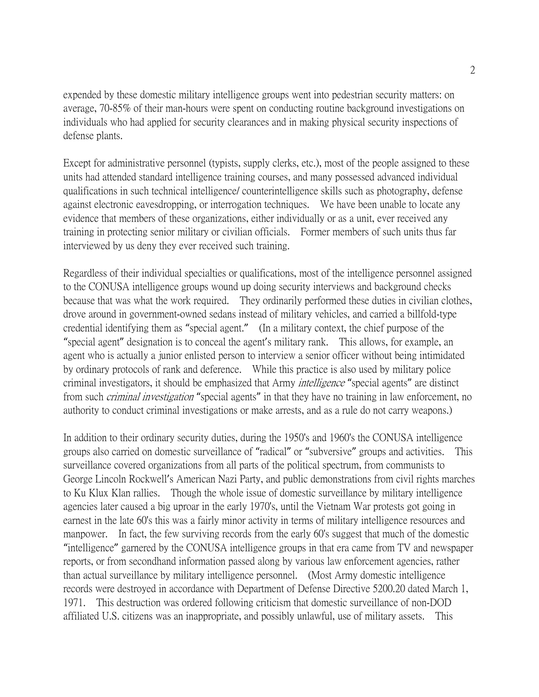expended by these domestic military intelligence groups went into pedestrian security matters: on average, 70-85% of their man-hours were spent on conducting routine background investigations on individuals who had applied for security clearances and in making physical security inspections of defense plants.

Except for administrative personnel (typists, supply clerks, etc.), most of the people assigned to these units had attended standard intelligence training courses, and many possessed advanced individual qualifications in such technical intelligence/ counterintelligence skills such as photography, defense against electronic eavesdropping, or interrogation techniques. We have been unable to locate any evidence that members of these organizations, either individually or as a unit, ever received any training in protecting senior military or civilian officials. Former members of such units thus far interviewed by us deny they ever received such training.

Regardless of their individual specialties or qualifications, most of the intelligence personnel assigned to the CONUSA intelligence groups wound up doing security interviews and background checks because that was what the work required. They ordinarily performed these duties in civilian clothes, drove around in government-owned sedans instead of military vehicles, and carried a billfold-type credential identifying them as "special agent." (In a military context, the chief purpose of the "special agent" designation is to conceal the agent's military rank. This allows, for example, an agent who is actually a junior enlisted person to interview a senior officer without being intimidated by ordinary protocols of rank and deference. While this practice is also used by military police criminal investigators, it should be emphasized that Army intelligence "special agents" are distinct from such *criminal investigation* "special agents" in that they have no training in law enforcement, no authority to conduct criminal investigations or make arrests, and as a rule do not carry weapons.)

In addition to their ordinary security duties, during the 1950's and 1960's the CONUSA intelligence groups also carried on domestic surveillance of "radical" or "subversive" groups and activities. This surveillance covered organizations from all parts of the political spectrum, from communists to George Lincoln Rockwell's American Nazi Party, and public demonstrations from civil rights marches to Ku Klux Klan rallies. Though the whole issue of domestic surveillance by military intelligence agencies later caused a big uproar in the early 1970's, until the Vietnam War protests got going in earnest in the late 60's this was a fairly minor activity in terms of military intelligence resources and manpower. In fact, the few surviving records from the early 60's suggest that much of the domestic "intelligence" garnered by the CONUSA intelligence groups in that era came from TV and newspaper reports, or from secondhand information passed along by various law enforcement agencies, rather than actual surveillance by military intelligence personnel. (Most Army domestic intelligence records were destroyed in accordance with Department of Defense Directive 5200.20 dated March 1, 1971. This destruction was ordered following criticism that domestic surveillance of non-DOD affiliated U.S. citizens was an inappropriate, and possibly unlawful, use of military assets. This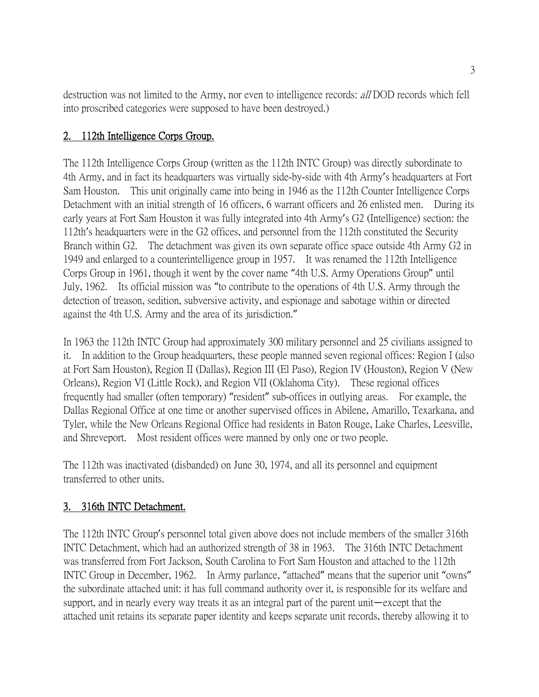destruction was not limited to the Army, nor even to intelligence records: all DOD records which fell into proscribed categories were supposed to have been destroyed.)

# 2. 112th Intelligence Corps Group.

The 112th Intelligence Corps Group (written as the 112th INTC Group) was directly subordinate to 4th Army, and in fact its headquarters was virtually side-by-side with 4th Army's headquarters at Fort Sam Houston. This unit originally came into being in 1946 as the 112th Counter Intelligence Corps Detachment with an initial strength of 16 officers, 6 warrant officers and 26 enlisted men. During its early years at Fort Sam Houston it was fully integrated into 4th Army's G2 (Intelligence) section: the 112th's headquarters were in the G2 offices, and personnel from the 112th constituted the Security Branch within G2. The detachment was given its own separate office space outside 4th Army G2 in 1949 and enlarged to a counterintelligence group in 1957. It was renamed the 112th Intelligence Corps Group in 1961, though it went by the cover name "4th U.S. Army Operations Group" until July, 1962. Its official mission was "to contribute to the operations of 4th U.S. Army through the detection of treason, sedition, subversive activity, and espionage and sabotage within or directed against the 4th U.S. Army and the area of its jurisdiction."

In 1963 the 112th INTC Group had approximately 300 military personnel and 25 civilians assigned to it. In addition to the Group headquarters, these people manned seven regional offices: Region I (also at Fort Sam Houston), Region II (Dallas), Region III (El Paso), Region IV (Houston), Region V (New Orleans), Region VI (Little Rock), and Region VII (Oklahoma City). These regional offices frequently had smaller (often temporary) "resident" sub-offices in outlying areas. For example, the Dallas Regional Office at one time or another supervised offices in Abilene, Amarillo, Texarkana, and Tyler, while the New Orleans Regional Office had residents in Baton Rouge, Lake Charles, Leesville, and Shreveport. Most resident offices were manned by only one or two people.

The 112th was inactivated (disbanded) on June 30, 1974, and all its personnel and equipment transferred to other units.

# 3. 316th INTC Detachment.

The 112th INTC Group's personnel total given above does not include members of the smaller 316th INTC Detachment, which had an authorized strength of 38 in 1963. The 316th INTC Detachment was transferred from Fort Jackson, South Carolina to Fort Sam Houston and attached to the 112th INTC Group in December, 1962. In Army parlance, "attached" means that the superior unit "owns" the subordinate attached unit: it has full command authority over it, is responsible for its welfare and support, and in nearly every way treats it as an integral part of the parent unit—except that the attached unit retains its separate paper identity and keeps separate unit records, thereby allowing it to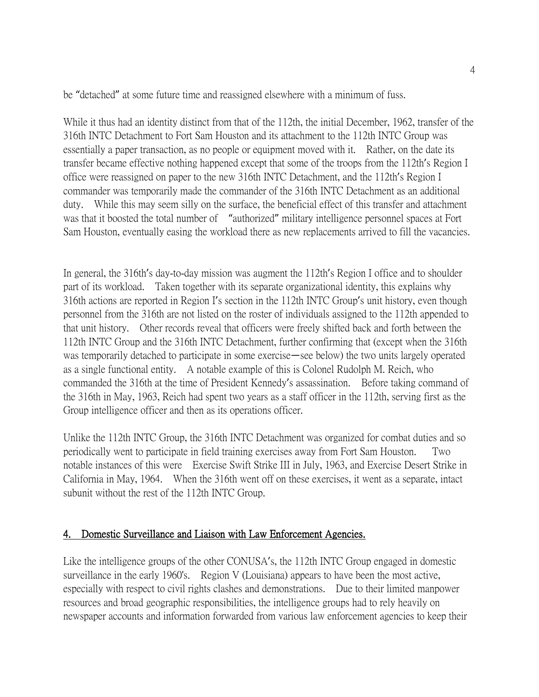be "detached" at some future time and reassigned elsewhere with a minimum of fuss.

While it thus had an identity distinct from that of the 112th, the initial December, 1962, transfer of the 316th INTC Detachment to Fort Sam Houston and its attachment to the 112th INTC Group was essentially a paper transaction, as no people or equipment moved with it. Rather, on the date its transfer became effective nothing happened except that some of the troops from the 112th's Region I office were reassigned on paper to the new 316th INTC Detachment, and the 112th's Region I commander was temporarily made the commander of the 316th INTC Detachment as an additional duty. While this may seem silly on the surface, the beneficial effect of this transfer and attachment was that it boosted the total number of "authorized" military intelligence personnel spaces at Fort Sam Houston, eventually easing the workload there as new replacements arrived to fill the vacancies.

In general, the 316th's day-to-day mission was augment the 112th's Region I office and to shoulder part of its workload. Taken together with its separate organizational identity, this explains why 316th actions are reported in Region I's section in the 112th INTC Group's unit history, even though personnel from the 316th are not listed on the roster of individuals assigned to the 112th appended to that unit history. Other records reveal that officers were freely shifted back and forth between the 112th INTC Group and the 316th INTC Detachment, further confirming that (except when the 316th was temporarily detached to participate in some exercise—see below) the two units largely operated as a single functional entity. A notable example of this is Colonel Rudolph M. Reich, who commanded the 316th at the time of President Kennedy's assassination. Before taking command of the 316th in May, 1963, Reich had spent two years as a staff officer in the 112th, serving first as the Group intelligence officer and then as its operations officer.

Unlike the 112th INTC Group, the 316th INTC Detachment was organized for combat duties and so periodically went to participate in field training exercises away from Fort Sam Houston. Two notable instances of this were Exercise Swift Strike III in July, 1963, and Exercise Desert Strike in California in May, 1964. When the 316th went off on these exercises, it went as a separate, intact subunit without the rest of the 112th INTC Group.

## 4. Domestic Surveillance and Liaison with Law Enforcement Agencies.

Like the intelligence groups of the other CONUSA's, the 112th INTC Group engaged in domestic surveillance in the early 1960's. Region V (Louisiana) appears to have been the most active, especially with respect to civil rights clashes and demonstrations. Due to their limited manpower resources and broad geographic responsibilities, the intelligence groups had to rely heavily on newspaper accounts and information forwarded from various law enforcement agencies to keep their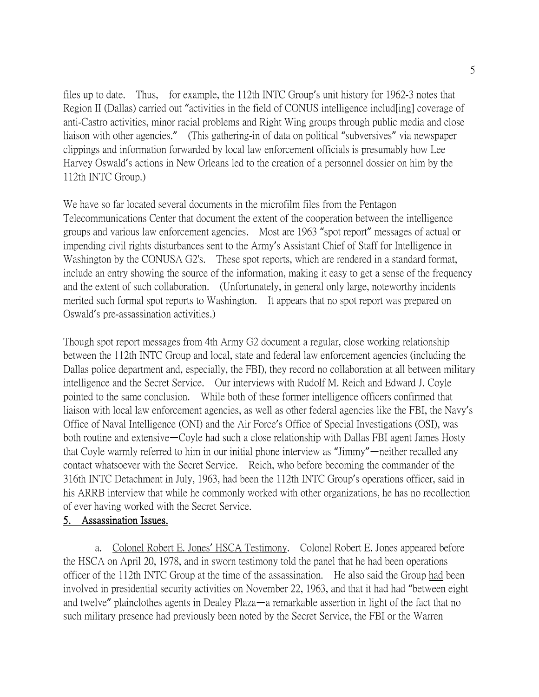files up to date. Thus, for example, the 112th INTC Group's unit history for 1962-3 notes that Region II (Dallas) carried out "activities in the field of CONUS intelligence includ [ing] coverage of anti-Castro activities, minor racial problems and Right Wing groups through public media and close liaison with other agencies." (This gathering-in of data on political "subversives" via newspaper clippings and information forwarded by local law enforcement officials is presumably how Lee Harvey Oswald's actions in New Orleans led to the creation of a personnel dossier on him by the 112th INTC Group.)

We have so far located several documents in the microfilm files from the Pentagon Telecommunications Center that document the extent of the cooperation between the intelligence groups and various law enforcement agencies. Most are 1963 "spot report" messages of actual or impending civil rights disturbances sent to the Army's Assistant Chief of Staff for Intelligence in Washington by the CONUSA G2's. These spot reports, which are rendered in a standard format, include an entry showing the source of the information, making it easy to get a sense of the frequency and the extent of such collaboration. (Unfortunately, in general only large, noteworthy incidents merited such formal spot reports to Washington. It appears that no spot report was prepared on Oswald's pre-assassination activities.)

Though spot report messages from 4th Army G2 document a regular, close working relationship between the 112th INTC Group and local, state and federal law enforcement agencies (including the Dallas police department and, especially, the FBI), they record no collaboration at all between military intelligence and the Secret Service. Our interviews with Rudolf M. Reich and Edward J. Coyle pointed to the same conclusion. While both of these former intelligence officers confirmed that liaison with local law enforcement agencies, as well as other federal agencies like the FBI, the Navy's Office of Naval Intelligence (ONI) and the Air Force's Office of Special Investigations (OSI), was both routine and extensive—Coyle had such a close relationship with Dallas FBI agent James Hosty that Coyle warmly referred to him in our initial phone interview as "Jimmy"—neither recalled any contact whatsoever with the Secret Service. Reich, who before becoming the commander of the 316th INTC Detachment in July, 1963, had been the 112th INTC Group's operations officer, said in his ARRB interview that while he commonly worked with other organizations, he has no recollection of ever having worked with the Secret Service.

## 5. Assassination Issues.

a. Colonel Robert E. Jones' HSCA Testimony. Colonel Robert E. Jones appeared before the HSCA on April 20, 1978, and in sworn testimony told the panel that he had been operations officer of the 112th INTC Group at the time of the assassination. He also said the Group had been involved in presidential security activities on November 22, 1963, and that it had had "between eight and twelve" plainclothes agents in Dealey Plaza—a remarkable assertion in light of the fact that no such military presence had previously been noted by the Secret Service, the FBI or the Warren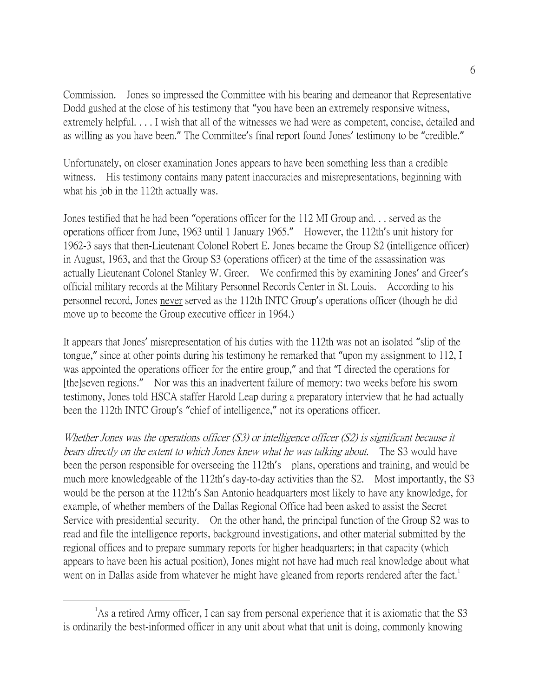Commission. Jones so impressed the Committee with his bearing and demeanor that Representative Dodd gushed at the close of his testimony that "you have been an extremely responsive witness, extremely helpful. . . . I wish that all of the witnesses we had were as competent, concise, detailed and as willing as you have been." The Committee's final report found Jones' testimony to be "credible."

Unfortunately, on closer examination Jones appears to have been something less than a credible witness. His testimony contains many patent inaccuracies and misrepresentations, beginning with what his job in the 112th actually was.

Jones testified that he had been "operations officer for the 112 MI Group and. . . served as the operations officer from June, 1963 until 1 January 1965." However, the 112th's unit history for 1962-3 says that then-Lieutenant Colonel Robert E. Jones became the Group S2 (intelligence officer) in August, 1963, and that the Group S3 (operations officer) at the time of the assassination was actually Lieutenant Colonel Stanley W. Greer. We confirmed this by examining Jones' and Greer's official military records at the Military Personnel Records Center in St. Louis. According to his personnel record, Jones never served as the 112th INTC Group's operations officer (though he did move up to become the Group executive officer in 1964.)

It appears that Jones' misrepresentation of his duties with the 112th was not an isolated "slip of the tongue," since at other points during his testimony he remarked that "upon my assignment to 112, I was appointed the operations officer for the entire group," and that "I directed the operations for [the]seven regions." Nor was this an inadvertent failure of memory: two weeks before his sworn testimony, Jones told HSCA staffer Harold Leap during a preparatory interview that he had actually been the 112th INTC Group's "chief of intelligence," not its operations officer.

Whether Jones was the operations officer (S3) or intelligence officer (S2) is significant because it bears directly on the extent to which Jones knew what he was talking about. The S3 would have been the person responsible for overseeing the 112th's plans, operations and training, and would be much more knowledgeable of the 112th's day-to-day activities than the S2. Most importantly, the S3 would be the person at the 112th's San Antonio headquarters most likely to have any knowledge, for example, of whether members of the Dallas Regional Office had been asked to assist the Secret Service with presidential security. On the other hand, the principal function of the Group S2 was to read and file the intelligence reports, background investigations, and other material submitted by the regional offices and to prepare summary reports for higher headquarters; in that capacity (which appears to have been his actual position), Jones might not have had much real knowledge about what went on in Dallas aside from whatever he might have gleaned from reports rendered after the fact.<sup>[1](#page-5-0)</sup>

<span id="page-5-0"></span> $\overline{\phantom{a}}$ <sup>1</sup>As a retired Army officer, I can say from personal experience that it is axiomatic that the S3 is ordinarily the best-informed officer in any unit about what that unit is doing, commonly knowing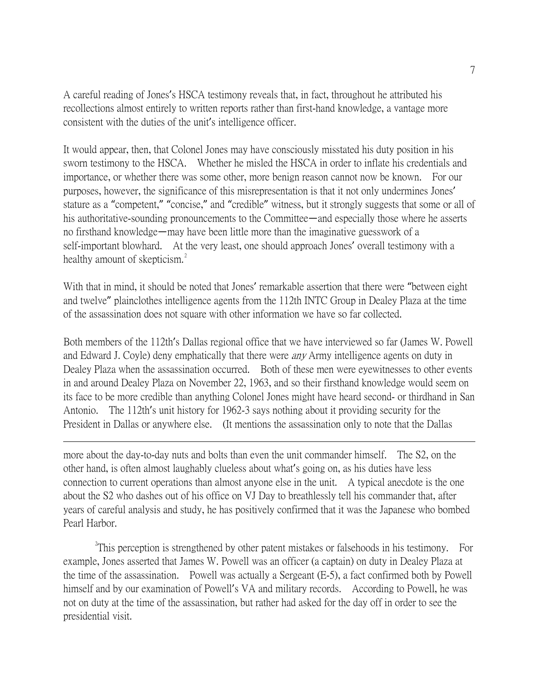A careful reading of Jones's HSCA testimony reveals that, in fact, throughout he attributed his recollections almost entirely to written reports rather than first-hand knowledge, a vantage more consistent with the duties of the unit's intelligence officer.

It would appear, then, that Colonel Jones may have consciously misstated his duty position in his sworn testimony to the HSCA. Whether he misled the HSCA in order to inflate his credentials and importance, or whether there was some other, more benign reason cannot now be known. For our purposes, however, the significance of this misrepresentation is that it not only undermines Jones' stature as a "competent," "concise," and "credible" witness, but it strongly suggests that some or all of his authoritative-sounding pronouncements to the Committee—and especially those where he asserts no firsthand knowledge—may have been little more than the imaginative guesswork of a self-important blowhard. At the very least, one should approach Jones' overall testimony with a healthy amount of skepticism.<sup>[2](#page-6-0)</sup>

With that in mind, it should be noted that Jones' remarkable assertion that there were "between eight and twelve" plainclothes intelligence agents from the 112th INTC Group in Dealey Plaza at the time of the assassination does not square with other information we have so far collected.

Both members of the 112th's Dallas regional office that we have interviewed so far (James W. Powell and Edward J. Coyle) deny emphatically that there were *any* Army intelligence agents on duty in Dealey Plaza when the assassination occurred. Both of these men were eyewitnesses to other events in and around Dealey Plaza on November 22, 1963, and so their firsthand knowledge would seem on its face to be more credible than anything Colonel Jones might have heard second- or thirdhand in San Antonio. The 112th's unit history for 1962-3 says nothing about it providing security for the President in Dallas or anywhere else. (It mentions the assassination only to note that the Dallas

more about the day-to-day nuts and bolts than even the unit commander himself. The S2, on the other hand, is often almost laughably clueless about what's going on, as his duties have less connection to current operations than almost anyone else in the unit. A typical anecdote is the one about the S2 who dashes out of his office on VJ Day to breathlessly tell his commander that, after years of careful analysis and study, he has positively confirmed that it was the Japanese who bombed Pearl Harbor.

 $\overline{a}$ 

<span id="page-6-0"></span><sup>2</sup>This perception is strengthened by other patent mistakes or falsehoods in his testimony. For example, Jones asserted that James W. Powell was an officer (a captain) on duty in Dealey Plaza at the time of the assassination. Powell was actually a Sergeant (E-5), a fact confirmed both by Powell himself and by our examination of Powell's VA and military records. According to Powell, he was not on duty at the time of the assassination, but rather had asked for the day off in order to see the presidential visit.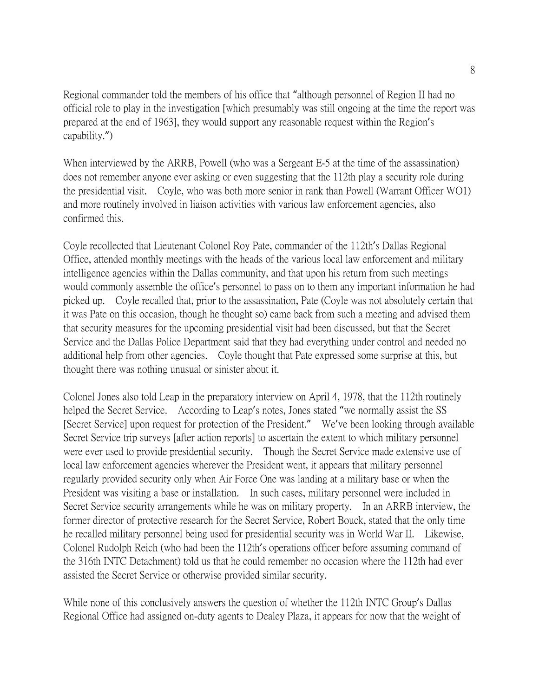Regional commander told the members of his office that "although personnel of Region II had no official role to play in the investigation [which presumably was still ongoing at the time the report was prepared at the end of 1963], they would support any reasonable request within the Region's capability.")

When interviewed by the ARRB, Powell (who was a Sergeant E-5 at the time of the assassination) does not remember anyone ever asking or even suggesting that the 112th play a security role during the presidential visit. Coyle, who was both more senior in rank than Powell (Warrant Officer WO1) and more routinely involved in liaison activities with various law enforcement agencies, also confirmed this.

Coyle recollected that Lieutenant Colonel Roy Pate, commander of the 112th's Dallas Regional Office, attended monthly meetings with the heads of the various local law enforcement and military intelligence agencies within the Dallas community, and that upon his return from such meetings would commonly assemble the office's personnel to pass on to them any important information he had picked up. Coyle recalled that, prior to the assassination, Pate (Coyle was not absolutely certain that it was Pate on this occasion, though he thought so) came back from such a meeting and advised them that security measures for the upcoming presidential visit had been discussed, but that the Secret Service and the Dallas Police Department said that they had everything under control and needed no additional help from other agencies. Coyle thought that Pate expressed some surprise at this, but thought there was nothing unusual or sinister about it.

Colonel Jones also told Leap in the preparatory interview on April 4, 1978, that the 112th routinely helped the Secret Service. According to Leap's notes, Jones stated "we normally assist the SS [Secret Service] upon request for protection of the President." We've been looking through available Secret Service trip surveys [after action reports] to ascertain the extent to which military personnel were ever used to provide presidential security. Though the Secret Service made extensive use of local law enforcement agencies wherever the President went, it appears that military personnel regularly provided security only when Air Force One was landing at a military base or when the President was visiting a base or installation. In such cases, military personnel were included in Secret Service security arrangements while he was on military property. In an ARRB interview, the former director of protective research for the Secret Service, Robert Bouck, stated that the only time he recalled military personnel being used for presidential security was in World War II. Likewise, Colonel Rudolph Reich (who had been the 112th's operations officer before assuming command of the 316th INTC Detachment) told us that he could remember no occasion where the 112th had ever assisted the Secret Service or otherwise provided similar security.

While none of this conclusively answers the question of whether the 112th INTC Group's Dallas Regional Office had assigned on-duty agents to Dealey Plaza, it appears for now that the weight of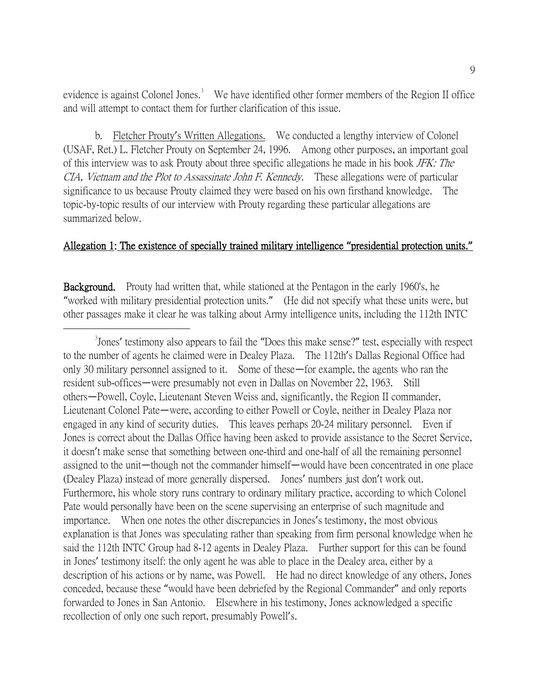evidence is against Colonel Jones.<sup>[3](#page-8-0)</sup> We have identified other former members of the Region II office and will attempt to contact them for further clarification of this issue.

b. Fletcher Prouty's Written Allegations. We conducted a lengthy interview of Colonel (USAF, Ret.) L. Fletcher Prouty on September 24, 1996. Among other purposes, an important goal of this interview was to ask Prouty about three specific allegations he made in his book JFK: The CIA, Vietnam and the Plot to Assassinate John F. Kennedy. These allegations were of particular significance to us because Prouty claimed they were based on his own firsthand knowledge. The topic-by-topic results of our interview with Prouty regarding these particular allegations are summarized below.

#### Allegation 1: The existence of specially trained military intelligence **"**presidential protection units.**"**

Background. Prouty had written that, while stationed at the Pentagon in the early 1960's, he "worked with military presidential protection units." (He did not specify what these units were, but other passages make it clear he was talking about Army intelligence units, including the 112th INTC

<span id="page-8-0"></span> $\frac{1}{3}$ <sup>3</sup> Jones' testimony also appears to fail the "Does this make sense?" test, especially with respect to the number of agents he claimed were in Dealey Plaza. The 112th's Dallas Regional Office had only 30 military personnel assigned to it. Some of these—for example, the agents who ran the resident sub-offices—were presumably not even in Dallas on November 22, 1963. Still others—Powell, Coyle, Lieutenant Steven Weiss and, significantly, the Region II commander, Lieutenant Colonel Pate—were, according to either Powell or Coyle, neither in Dealey Plaza nor engaged in any kind of security duties. This leaves perhaps 20-24 military personnel. Even if Jones is correct about the Dallas Office having been asked to provide assistance to the Secret Service, it doesn't make sense that something between one-third and one-half of all the remaining personnel assigned to the unit—though not the commander himself—would have been concentrated in one place (Dealey Plaza) instead of more generally dispersed. Jones' numbers just don't work out. Furthermore, his whole story runs contrary to ordinary military practice, according to which Colonel Pate would personally have been on the scene supervising an enterprise of such magnitude and importance. When one notes the other discrepancies in Jones's testimony, the most obvious explanation is that Jones was speculating rather than speaking from firm personal knowledge when he said the 112th INTC Group had 8-12 agents in Dealey Plaza. Further support for this can be found in Jones' testimony itself: the only agent he was able to place in the Dealey area, either by a description of his actions or by name, was Powell. He had no direct knowledge of any others, Jones conceded, because these "would have been debriefed by the Regional Commander" and only reports forwarded to Jones in San Antonio. Elsewhere in his testimony, Jones acknowledged a specific recollection of only one such report, presumably Powell's.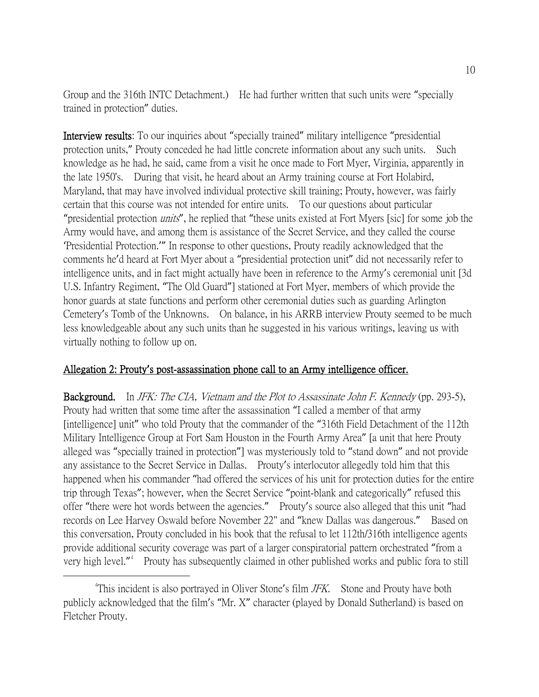Group and the 316th INTC Detachment.) He had further written that such units were "specially trained in protection" duties.

Interview results: To our inquiries about "specially trained" military intelligence "presidential protection units," Prouty conceded he had little concrete information about any such units. Such knowledge as he had, he said, came from a visit he once made to Fort Myer, Virginia, apparently in the late 1950's. During that visit, he heard about an Army training course at Fort Holabird, Maryland, that may have involved individual protective skill training; Prouty, however, was fairly certain that this course was not intended for entire units. To our questions about particular "presidential protection *units*", he replied that "these units existed at Fort Myers [sic] for some job the Army would have, and among them is assistance of the Secret Service, and they called the course 'Presidential Protection.'" In response to other questions, Prouty readily acknowledged that the comments he'd heard at Fort Myer about a "presidential protection unit" did not necessarily refer to intelligence units, and in fact might actually have been in reference to the Army's ceremonial unit [3d U.S. Infantry Regiment, "The Old Guard"] stationed at Fort Myer, members of which provide the honor guards at state functions and perform other ceremonial duties such as guarding Arlington Cemetery's Tomb of the Unknowns. On balance, in his ARRB interview Prouty seemed to be much less knowledgeable about any such units than he suggested in his various writings, leaving us with virtually nothing to follow up on.

#### Allegation 2: Prouty**'**s post-assassination phone call to an Army intelligence officer.

Background. In JFK: The CIA, Vietnam and the Plot to Assassinate John F. Kennedy (pp. 293-5), Prouty had written that some time after the assassination "I called a member of that army [intelligence] unit" who told Prouty that the commander of the "316th Field Detachment of the 112th Military Intelligence Group at Fort Sam Houston in the Fourth Army Area" [a unit that here Prouty alleged was "specially trained in protection"] was mysteriously told to "stand down" and not provide any assistance to the Secret Service in Dallas. Prouty's interlocutor allegedly told him that this happened when his commander "had offered the services of his unit for protection duties for the entire trip through Texas"; however, when the Secret Service "point-blank and categorically" refused this offer "there were hot words between the agencies." Prouty's source also alleged that this unit "had records on Lee Harvey Oswald before November 22" and "knew Dallas was dangerous." Based on this conversation, Prouty concluded in his book that the refusal to let 112th/316th intelligence agents provide additional security coverage was part of a larger conspiratorial pattern orchestrated "from a very high level."<sup>[4](#page-9-0)</sup> Prouty has subsequently claimed in other published works and public fora to still

<span id="page-9-0"></span> $\frac{1}{4}$ <sup>4</sup>This incident is also portrayed in Oliver Stone's film  $JFK$ . Stone and Prouty have both publicly acknowledged that the film's "Mr. X" character (played by Donald Sutherland) is based on Fletcher Prouty.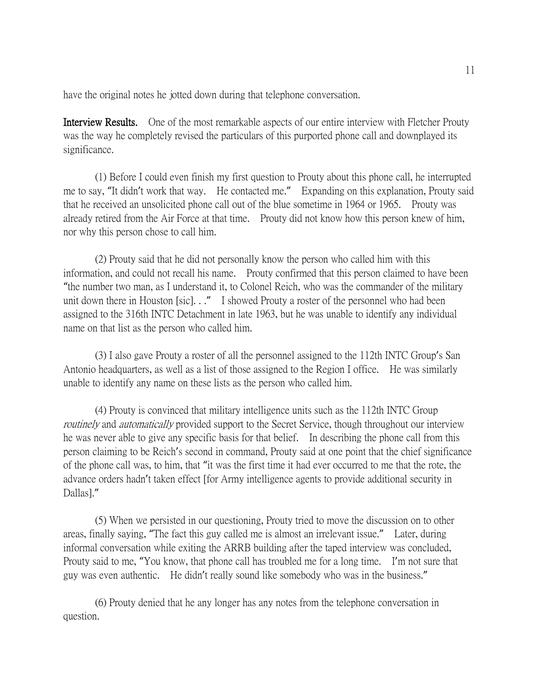have the original notes he jotted down during that telephone conversation.

Interview Results. One of the most remarkable aspects of our entire interview with Fletcher Prouty was the way he completely revised the particulars of this purported phone call and downplayed its significance.

(1) Before I could even finish my first question to Prouty about this phone call, he interrupted me to say, "It didn't work that way. He contacted me." Expanding on this explanation, Prouty said that he received an unsolicited phone call out of the blue sometime in 1964 or 1965. Prouty was already retired from the Air Force at that time. Prouty did not know how this person knew of him, nor why this person chose to call him.

(2) Prouty said that he did not personally know the person who called him with this information, and could not recall his name. Prouty confirmed that this person claimed to have been "the number two man, as I understand it, to Colonel Reich, who was the commander of the military unit down there in Houston [sic]. . ." I showed Prouty a roster of the personnel who had been assigned to the 316th INTC Detachment in late 1963, but he was unable to identify any individual name on that list as the person who called him.

(3) I also gave Prouty a roster of all the personnel assigned to the 112th INTC Group's San Antonio headquarters, as well as a list of those assigned to the Region I office. He was similarly unable to identify any name on these lists as the person who called him.

(4) Prouty is convinced that military intelligence units such as the 112th INTC Group routinely and *automatically* provided support to the Secret Service, though throughout our interview he was never able to give any specific basis for that belief. In describing the phone call from this person claiming to be Reich's second in command, Prouty said at one point that the chief significance of the phone call was, to him, that "it was the first time it had ever occurred to me that the rote, the advance orders hadn't taken effect [for Army intelligence agents to provide additional security in Dallas]."

(5) When we persisted in our questioning, Prouty tried to move the discussion on to other areas, finally saying, "The fact this guy called me is almost an irrelevant issue." Later, during informal conversation while exiting the ARRB building after the taped interview was concluded, Prouty said to me, "You know, that phone call has troubled me for a long time. I'm not sure that guy was even authentic. He didn't really sound like somebody who was in the business."

(6) Prouty denied that he any longer has any notes from the telephone conversation in question.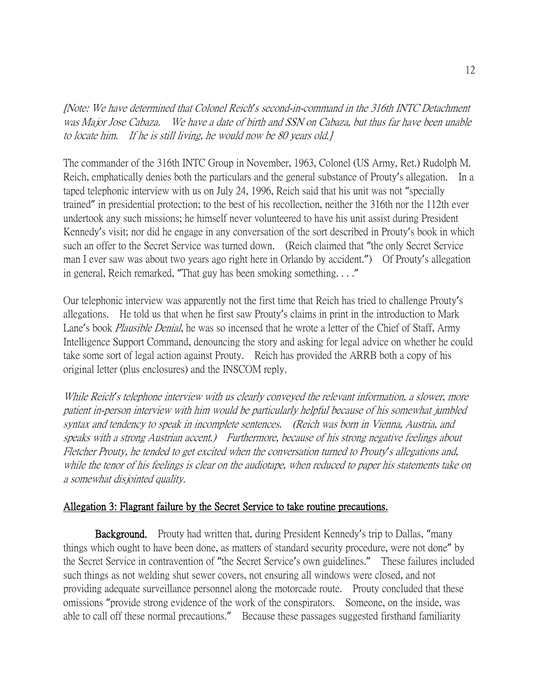[Note: We have determined that Colonel Reich*'*s second-in-command in the 316th INTC Detachment was Major Jose Cabaza. We have a date of birth and SSN on Cabaza, but thus far have been unable to locate him. If he is still living, he would now be 80 years old.]

The commander of the 316th INTC Group in November, 1963, Colonel (US Army, Ret.) Rudolph M. Reich, emphatically denies both the particulars and the general substance of Prouty's allegation. In a taped telephonic interview with us on July 24, 1996, Reich said that his unit was not "specially trained" in presidential protection; to the best of his recollection, neither the 316th nor the 112th ever undertook any such missions; he himself never volunteered to have his unit assist during President Kennedy's visit; nor did he engage in any conversation of the sort described in Prouty's book in which such an offer to the Secret Service was turned down. (Reich claimed that "the only Secret Service man I ever saw was about two years ago right here in Orlando by accident.") Of Prouty's allegation in general, Reich remarked, "That guy has been smoking something. . . ."

Our telephonic interview was apparently not the first time that Reich has tried to challenge Prouty's allegations. He told us that when he first saw Prouty's claims in print in the introduction to Mark Lane's book *Plausible Denial*, he was so incensed that he wrote a letter of the Chief of Staff, Army Intelligence Support Command, denouncing the story and asking for legal advice on whether he could take some sort of legal action against Prouty. Reich has provided the ARRB both a copy of his original letter (plus enclosures) and the INSCOM reply.

While Reich*'*s telephone interview with us clearly conveyed the relevant information, a slower, more patient in-person interview with him would be particularly helpful because of his somewhat jumbled syntax and tendency to speak in incomplete sentences. (Reich was born in Vienna, Austria, and speaks with a strong Austrian accent.) Furthermore, because of his strong negative feelings about Fletcher Prouty, he tended to get excited when the conversation turned to Prouty*'*s allegations and, while the tenor of his feelings is clear on the audiotape, when reduced to paper his statements take on a somewhat disjointed quality.

#### Allegation 3: Flagrant failure by the Secret Service to take routine precautions.

Background. Prouty had written that, during President Kennedy's trip to Dallas, "many things which ought to have been done, as matters of standard security procedure, were not done" by the Secret Service in contravention of "the Secret Service's own guidelines." These failures included such things as not welding shut sewer covers, not ensuring all windows were closed, and not providing adequate surveillance personnel along the motorcade route. Prouty concluded that these omissions "provide strong evidence of the work of the conspirators. Someone, on the inside, was able to call off these normal precautions." Because these passages suggested firsthand familiarity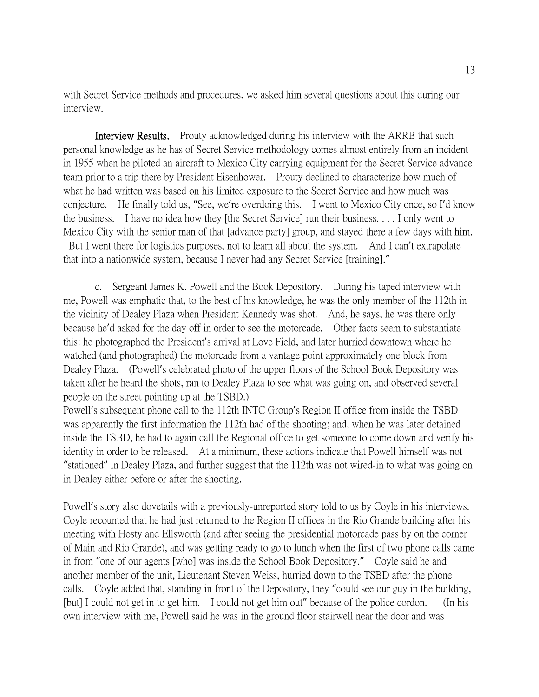with Secret Service methods and procedures, we asked him several questions about this during our interview.

Interview Results. Prouty acknowledged during his interview with the ARRB that such personal knowledge as he has of Secret Service methodology comes almost entirely from an incident in 1955 when he piloted an aircraft to Mexico City carrying equipment for the Secret Service advance team prior to a trip there by President Eisenhower. Prouty declined to characterize how much of what he had written was based on his limited exposure to the Secret Service and how much was conjecture. He finally told us, "See, we're overdoing this. I went to Mexico City once, so I'd know the business. I have no idea how they [the Secret Service] run their business. . . . I only went to Mexico City with the senior man of that [advance party] group, and stayed there a few days with him. But I went there for logistics purposes, not to learn all about the system. And I can't extrapolate that into a nationwide system, because I never had any Secret Service [training]."

c. Sergeant James K. Powell and the Book Depository. During his taped interview with me, Powell was emphatic that, to the best of his knowledge, he was the only member of the 112th in the vicinity of Dealey Plaza when President Kennedy was shot. And, he says, he was there only because he'd asked for the day off in order to see the motorcade. Other facts seem to substantiate this: he photographed the President's arrival at Love Field, and later hurried downtown where he watched (and photographed) the motorcade from a vantage point approximately one block from Dealey Plaza. (Powell's celebrated photo of the upper floors of the School Book Depository was taken after he heard the shots, ran to Dealey Plaza to see what was going on, and observed several people on the street pointing up at the TSBD.)

Powell's subsequent phone call to the 112th INTC Group's Region II office from inside the TSBD was apparently the first information the 112th had of the shooting; and, when he was later detained inside the TSBD, he had to again call the Regional office to get someone to come down and verify his identity in order to be released. At a minimum, these actions indicate that Powell himself was not "stationed" in Dealey Plaza, and further suggest that the 112th was not wired-in to what was going on in Dealey either before or after the shooting.

Powell's story also dovetails with a previously-unreported story told to us by Coyle in his interviews. Coyle recounted that he had just returned to the Region II offices in the Rio Grande building after his meeting with Hosty and Ellsworth (and after seeing the presidential motorcade pass by on the corner of Main and Rio Grande), and was getting ready to go to lunch when the first of two phone calls came in from "one of our agents [who] was inside the School Book Depository." Coyle said he and another member of the unit, Lieutenant Steven Weiss, hurried down to the TSBD after the phone calls. Coyle added that, standing in front of the Depository, they "could see our guy in the building, [but] I could not get in to get him. I could not get him out" because of the police cordon. (In his own interview with me, Powell said he was in the ground floor stairwell near the door and was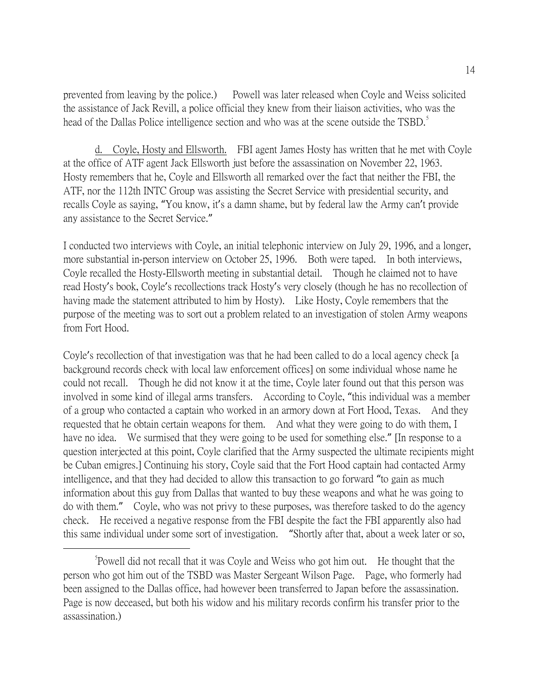prevented from leaving by the police.) Powell was later released when Coyle and Weiss solicited the assistance of Jack Revill, a police official they knew from their liaison activities, who was the head of the Dallas Police intelligence section and who was at the scene outside the TSBD.<sup>[5](#page-13-0)</sup>

d. Coyle, Hosty and Ellsworth. FBI agent James Hosty has written that he met with Coyle at the office of ATF agent Jack Ellsworth just before the assassination on November 22, 1963. Hosty remembers that he, Coyle and Ellsworth all remarked over the fact that neither the FBI, the ATF, nor the 112th INTC Group was assisting the Secret Service with presidential security, and recalls Coyle as saying, "You know, it's a damn shame, but by federal law the Army can't provide any assistance to the Secret Service."

I conducted two interviews with Coyle, an initial telephonic interview on July 29, 1996, and a longer, more substantial in-person interview on October 25, 1996. Both were taped. In both interviews, Coyle recalled the Hosty-Ellsworth meeting in substantial detail. Though he claimed not to have read Hosty's book, Coyle's recollections track Hosty's very closely (though he has no recollection of having made the statement attributed to him by Hosty). Like Hosty, Coyle remembers that the purpose of the meeting was to sort out a problem related to an investigation of stolen Army weapons from Fort Hood.

Coyle's recollection of that investigation was that he had been called to do a local agency check [a background records check with local law enforcement offices] on some individual whose name he could not recall. Though he did not know it at the time, Coyle later found out that this person was involved in some kind of illegal arms transfers. According to Coyle, "this individual was a member of a group who contacted a captain who worked in an armory down at Fort Hood, Texas. And they requested that he obtain certain weapons for them. And what they were going to do with them, I have no idea. We surmised that they were going to be used for something else." [In response to a question interjected at this point, Coyle clarified that the Army suspected the ultimate recipients might be Cuban emigres.] Continuing his story, Coyle said that the Fort Hood captain had contacted Army intelligence, and that they had decided to allow this transaction to go forward "to gain as much information about this guy from Dallas that wanted to buy these weapons and what he was going to do with them." Coyle, who was not privy to these purposes, was therefore tasked to do the agency check. He received a negative response from the FBI despite the fact the FBI apparently also had this same individual under some sort of investigation. "Shortly after that, about a week later or so,

<span id="page-13-0"></span> $\frac{1}{5}$ Powell did not recall that it was Coyle and Weiss who got him out. He thought that the person who got him out of the TSBD was Master Sergeant Wilson Page. Page, who formerly had been assigned to the Dallas office, had however been transferred to Japan before the assassination. Page is now deceased, but both his widow and his military records confirm his transfer prior to the assassination.)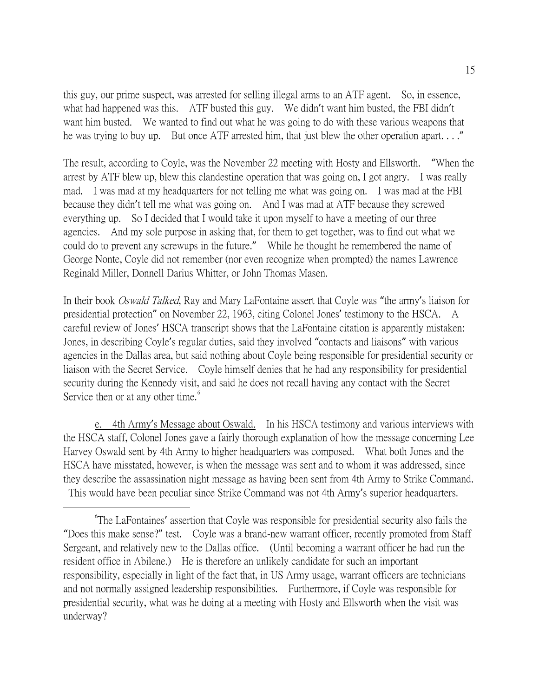this guy, our prime suspect, was arrested for selling illegal arms to an ATF agent. So, in essence, what had happened was this. ATF busted this guy. We didn't want him busted, the FBI didn't want him busted. We wanted to find out what he was going to do with these various weapons that he was trying to buy up. But once ATF arrested him, that just blew the other operation apart...."

The result, according to Coyle, was the November 22 meeting with Hosty and Ellsworth. "When the arrest by ATF blew up, blew this clandestine operation that was going on, I got angry. I was really mad. I was mad at my headquarters for not telling me what was going on. I was mad at the FBI because they didn't tell me what was going on. And I was mad at ATF because they screwed everything up. So I decided that I would take it upon myself to have a meeting of our three agencies. And my sole purpose in asking that, for them to get together, was to find out what we could do to prevent any screwups in the future." While he thought he remembered the name of George Nonte, Coyle did not remember (nor even recognize when prompted) the names Lawrence Reginald Miller, Donnell Darius Whitter, or John Thomas Masen.

In their book Oswald Talked, Ray and Mary LaFontaine assert that Coyle was "the army's liaison for presidential protection" on November 22, 1963, citing Colonel Jones' testimony to the HSCA. A careful review of Jones' HSCA transcript shows that the LaFontaine citation is apparently mistaken: Jones, in describing Coyle's regular duties, said they involved "contacts and liaisons" with various agencies in the Dallas area, but said nothing about Coyle being responsible for presidential security or liaison with the Secret Service. Coyle himself denies that he had any responsibility for presidential security during the Kennedy visit, and said he does not recall having any contact with the Secret Service then or at any other time.<sup>[6](#page-14-0)</sup>

e. 4th Army's Message about Oswald. In his HSCA testimony and various interviews with the HSCA staff, Colonel Jones gave a fairly thorough explanation of how the message concerning Lee Harvey Oswald sent by 4th Army to higher headquarters was composed. What both Jones and the HSCA have misstated, however, is when the message was sent and to whom it was addressed, since they describe the assassination night message as having been sent from 4th Army to Strike Command. This would have been peculiar since Strike Command was not 4th Army's superior headquarters.

<span id="page-14-0"></span> $\overline{\phantom{a}}$ The LaFontaines' assertion that Coyle was responsible for presidential security also fails the "Does this make sense?" test. Coyle was a brand-new warrant officer, recently promoted from Staff Sergeant, and relatively new to the Dallas office. (Until becoming a warrant officer he had run the resident office in Abilene.) He is therefore an unlikely candidate for such an important responsibility, especially in light of the fact that, in US Army usage, warrant officers are technicians and not normally assigned leadership responsibilities. Furthermore, if Coyle was responsible for presidential security, what was he doing at a meeting with Hosty and Ellsworth when the visit was underway?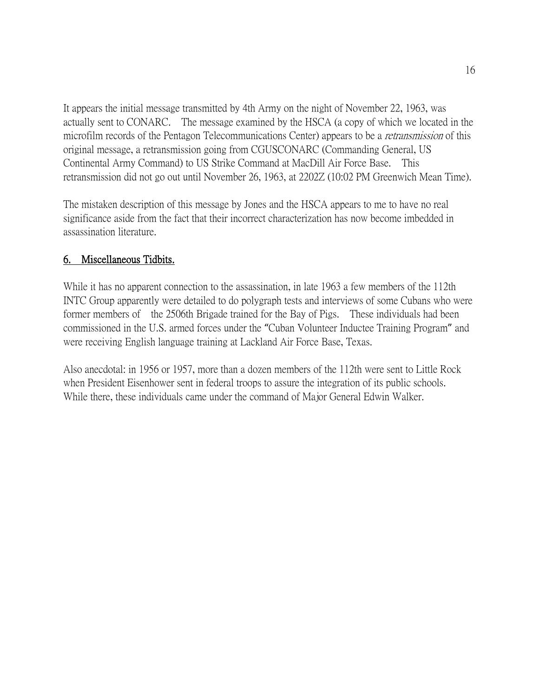It appears the initial message transmitted by 4th Army on the night of November 22, 1963, was actually sent to CONARC. The message examined by the HSCA (a copy of which we located in the microfilm records of the Pentagon Telecommunications Center) appears to be a *retransmission* of this original message, a retransmission going from CGUSCONARC (Commanding General, US Continental Army Command) to US Strike Command at MacDill Air Force Base. This retransmission did not go out until November 26, 1963, at 2202Z (10:02 PM Greenwich Mean Time).

The mistaken description of this message by Jones and the HSCA appears to me to have no real significance aside from the fact that their incorrect characterization has now become imbedded in assassination literature.

## 6. Miscellaneous Tidbits.

While it has no apparent connection to the assassination, in late 1963 a few members of the 112th INTC Group apparently were detailed to do polygraph tests and interviews of some Cubans who were former members of the 2506th Brigade trained for the Bay of Pigs. These individuals had been commissioned in the U.S. armed forces under the "Cuban Volunteer Inductee Training Program" and were receiving English language training at Lackland Air Force Base, Texas.

Also anecdotal: in 1956 or 1957, more than a dozen members of the 112th were sent to Little Rock when President Eisenhower sent in federal troops to assure the integration of its public schools. While there, these individuals came under the command of Major General Edwin Walker.